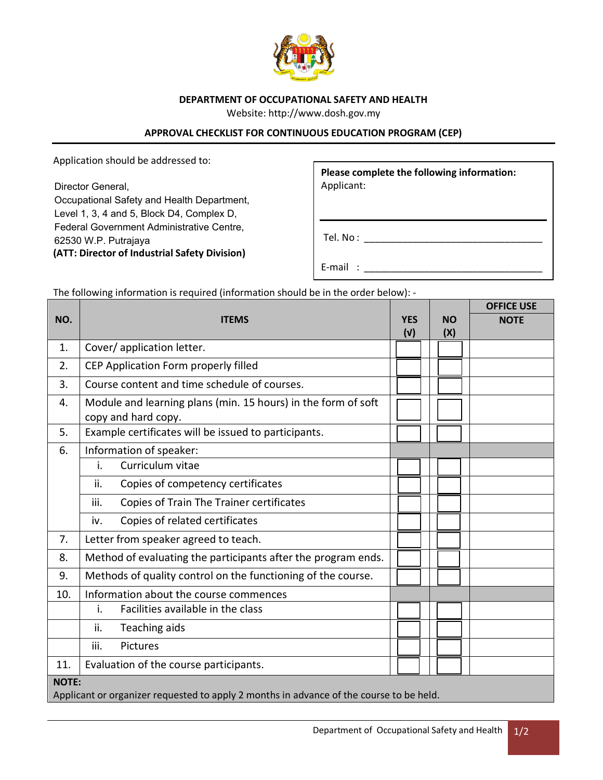

## **DEPARTMENT OF OCCUPATIONAL SAFETY AND HEALTH**

Website: http://www.dosh.gov.my

## **APPROVAL CHECKLIST FOR CONTINUOUS EDUCATION PROGRAM (CEP)**

Application should be addressed to:

Director General, Director General,

Occupational Safety and Health Department, Level 1, 3, 4 and 5, Block D4, Complex D, Federal Government Administrative Centre, Federal Government Administrative Centre, 62530 W.P. Putrajaya **(ATT: Director of Industrial Safety Division)**

**Please complete the following information:** Applicant:

Tel. No : \_\_\_\_\_\_\_\_\_\_\_\_\_\_\_\_\_\_\_\_\_\_\_\_\_\_\_\_\_\_\_\_\_

E-mail : \_\_\_\_\_\_\_\_\_\_\_\_\_\_\_\_\_\_\_\_\_\_\_\_\_\_\_\_\_\_\_\_\_

The following information is required (information should be in the order below): -

|                                                                                                         |                                                                                      |            |           | <b>OFFICE USE</b> |  |  |
|---------------------------------------------------------------------------------------------------------|--------------------------------------------------------------------------------------|------------|-----------|-------------------|--|--|
| NO.                                                                                                     | <b>ITEMS</b>                                                                         | <b>YES</b> | <b>NO</b> | <b>NOTE</b>       |  |  |
|                                                                                                         |                                                                                      | (V)        | (X)       |                   |  |  |
| 1.                                                                                                      | Cover/ application letter.                                                           |            |           |                   |  |  |
| 2.                                                                                                      | CEP Application Form properly filled                                                 |            |           |                   |  |  |
| 3.                                                                                                      | Course content and time schedule of courses.                                         |            |           |                   |  |  |
| 4.                                                                                                      | Module and learning plans (min. 15 hours) in the form of soft<br>copy and hard copy. |            |           |                   |  |  |
| 5.                                                                                                      | Example certificates will be issued to participants.                                 |            |           |                   |  |  |
| 6.                                                                                                      | Information of speaker:                                                              |            |           |                   |  |  |
|                                                                                                         | Curriculum vitae<br>i.                                                               |            |           |                   |  |  |
|                                                                                                         | ii.<br>Copies of competency certificates                                             |            |           |                   |  |  |
|                                                                                                         | Copies of Train The Trainer certificates<br>iii.                                     |            |           |                   |  |  |
|                                                                                                         | Copies of related certificates<br>iv.                                                |            |           |                   |  |  |
| 7.                                                                                                      | Letter from speaker agreed to teach.                                                 |            |           |                   |  |  |
| 8.                                                                                                      | Method of evaluating the participants after the program ends.                        |            |           |                   |  |  |
| 9.                                                                                                      | Methods of quality control on the functioning of the course.                         |            |           |                   |  |  |
| 10.                                                                                                     | Information about the course commences                                               |            |           |                   |  |  |
|                                                                                                         | i.<br>Facilities available in the class                                              |            |           |                   |  |  |
|                                                                                                         | ii.<br>Teaching aids                                                                 |            |           |                   |  |  |
|                                                                                                         | iii.<br>Pictures                                                                     |            |           |                   |  |  |
| 11.                                                                                                     | Evaluation of the course participants.                                               |            |           |                   |  |  |
| <b>NOTE:</b><br>Applicant or organizer requested to apply 2 months in advance of the course to be held. |                                                                                      |            |           |                   |  |  |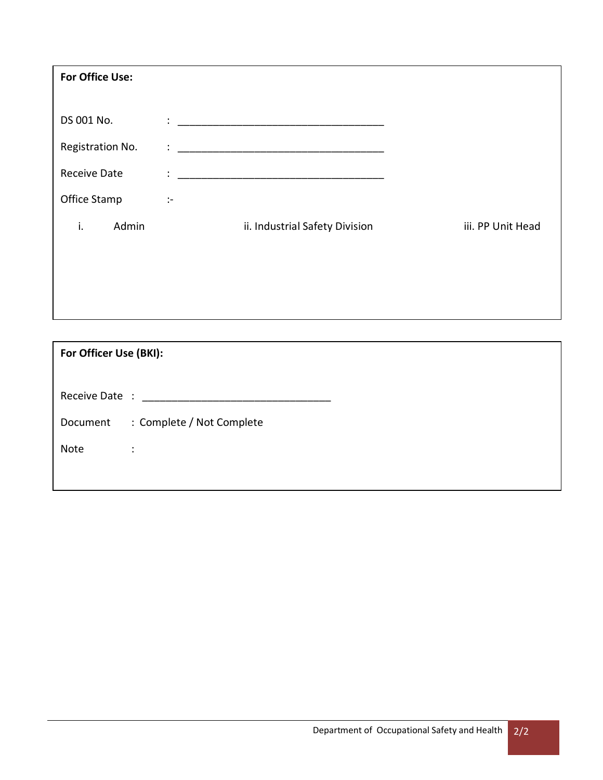| For Office Use:                                                                    |                   |  |  |  |  |  |  |
|------------------------------------------------------------------------------------|-------------------|--|--|--|--|--|--|
|                                                                                    |                   |  |  |  |  |  |  |
| $\ddot{\cdot}$ , and the contract of the contract of the contract of $\dot{\cdot}$ |                   |  |  |  |  |  |  |
| ÷                                                                                  |                   |  |  |  |  |  |  |
| ÷<br><u> 1980 - John Stone, Amerikaansk politiker (</u> † 1920)                    |                   |  |  |  |  |  |  |
| $\mathcal{C}^{\mathcal{C}}$                                                        |                   |  |  |  |  |  |  |
| ii. Industrial Safety Division                                                     | iii. PP Unit Head |  |  |  |  |  |  |
|                                                                                    |                   |  |  |  |  |  |  |
|                                                                                    |                   |  |  |  |  |  |  |
|                                                                                    |                   |  |  |  |  |  |  |
|                                                                                    |                   |  |  |  |  |  |  |

| For Officer Use (BKI): |                                  |  |  |  |  |  |
|------------------------|----------------------------------|--|--|--|--|--|
|                        | Receive Date : _________________ |  |  |  |  |  |
| Document               | : Complete / Not Complete        |  |  |  |  |  |
| <b>Note</b>            | ÷                                |  |  |  |  |  |
|                        |                                  |  |  |  |  |  |